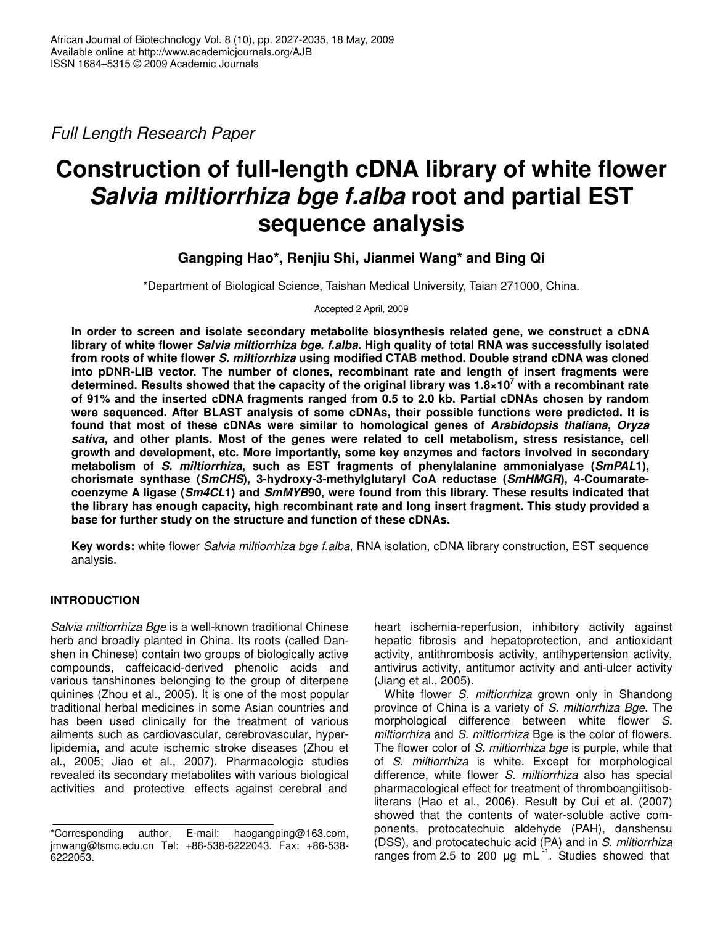*Full Length Research Paper*

# **Construction of full-length cDNA library of white flower** *Salvia miltiorrhiza bge f.alba* **root and partial EST sequence analysis**

**Gangping Hao\*, Renjiu Shi, Jianmei Wang\* and Bing Qi**

\*Department of Biological Science, Taishan Medical University, Taian 271000, China.

Accepted 2 April, 2009

**In order to screen and isolate secondary metabolite biosynthesis related gene, we construct a cDNA library of white flower** *Salvia miltiorrhiza bge. f.alba.* **High quality of total RNA was successfully isolated from roots of white flower** *S. miltiorrhiza* **using modified CTAB method. Double strand cDNA was cloned into pDNR-LIB vector. The number of clones, recombinant rate and length of insert fragments were determined. Results showed that the capacity of the original library was 1.8×10 <sup>7</sup> with a recombinant rate of 91% and the inserted cDNA fragments ranged from 0.5 to 2.0 kb. Partial cDNAs chosen by random were sequenced. After BLAST analysis of some cDNAs, their possible functions were predicted. It is found that most of these cDNAs were similar to homological genes of** *Arabidopsis thaliana***,** *Oryza sativa***, and other plants. Most of the genes were related to cell metabolism, stress resistance, cell growth and development, etc. More importantly, some key enzymes and factors involved in secondary metabolism of** *S. miltiorrhiza***, such as EST fragments of phenylalanine ammonialyase (***SmPAL***1), chorismate synthase (***SmCHS***), 3-hydroxy-3-methylglutaryl CoA reductase (***SmHMGR***), 4-Coumaratecoenzyme A ligase (***Sm4CL***1) and** *SmMYB***90, were found from this library. These results indicated that the library has enough capacity, high recombinant rate and long insert fragment. This study provided a base for further study on the structure and function of these cDNAs.**

**Key words:** white flower *Salvia miltiorrhiza bge f.alba*, RNA isolation, cDNA library construction, EST sequence analysis.

## **INTRODUCTION**

*Salvia miltiorrhiza Bge* is a well-known traditional Chinese herb and broadly planted in China. Its roots (called Danshen in Chinese) contain two groups of biologically active compounds, caffeicacid-derived phenolic acids and various tanshinones belonging to the group of diterpene quinines (Zhou et al., 2005). It is one of the most popular traditional herbal medicines in some Asian countries and has been used clinically for the treatment of various ailments such as cardiovascular, cerebrovascular, hyperlipidemia, and acute ischemic stroke diseases (Zhou et al., 2005; Jiao et al., 2007). Pharmacologic studies revealed its secondary metabolites with various biological activities and protective effects against cerebral and

heart ischemia-reperfusion, inhibitory activity against hepatic fibrosis and hepatoprotection, and antioxidant activity, antithrombosis activity, antihypertension activity, antivirus activity, antitumor activity and anti-ulcer activity (Jiang et al., 2005).

White flower *S. miltiorrhiza* grown only in Shandong province of China is a variety of *S. miltiorrhiza Bge*. The morphological difference between white flower *S. miltiorrhiza* and *S. miltiorrhiza* Bge is the color of flowers. The flower color of *S. miltiorrhiza bge* is purple, while that of *S. miltiorrhiza* is white. Except for morphological difference, white flower *S. miltiorrhiza* also has special pharmacological effect for treatment of thromboangiitisobliterans (Hao et al., 2006). Result by Cui et al. (2007) showed that the contents of water-soluble active components, protocatechuic aldehyde (PAH), danshensu (DSS), and protocatechuic acid (PA) and in *S. miltiorrhiza* ranges from 2.5 to 200  $\mu$ g mL $^{-1}$ . Studies showed that

<sup>\*</sup>Corresponding author. E-mail: haogangping@163.com, jmwang@tsmc.edu.cn Tel: +86-538-6222043. Fax: +86-538- 6222053.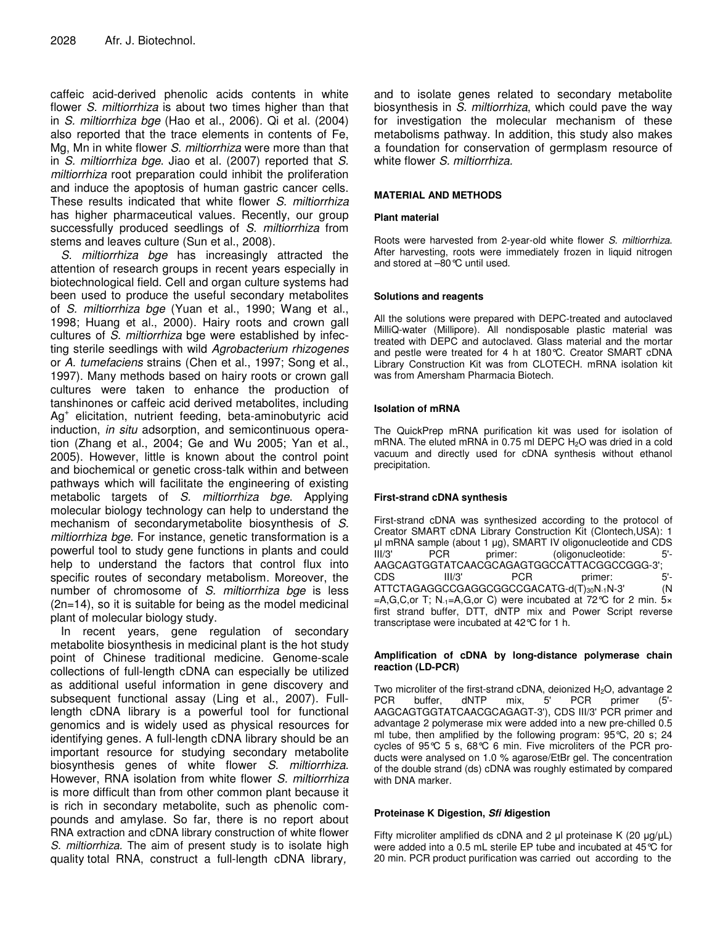caffeic acid-derived phenolic acids contents in white flower *S. miltiorrhiza* is about two times higher than that in *S. miltiorrhiza bge* (Hao et al., 2006)*.* Qi et al. (2004) also reported that the trace elements in contents of Fe, Mg, Mn in white flower *S. miltiorrhiza* were more than that in *S. miltiorrhiza bge*. Jiao et al. (2007) reported that *S. miltiorrhiza* root preparation could inhibit the proliferation and induce the apoptosis of human gastric cancer cells. These results indicated that white flower *S. miltiorrhiza* has higher pharmaceutical values. Recently, our group successfully produced seedlings of *S. miltiorrhiza* from stems and leaves culture (Sun et al., 2008).

*S. miltiorrhiza bge* has increasingly attracted the attention of research groups in recent years especially in biotechnological field. Cell and organ culture systems had been used to produce the useful secondary metabolites of *S. miltiorrhiza bge* (Yuan et al., 1990; Wang et al., 1998; Huang et al., 2000). Hairy roots and crown gall cultures of *S. miltiorrhiza* bge were established by infecting sterile seedlings with wild *Agrobacterium rhizogenes* or *A. tumefaciens* strains (Chen et al., 1997; Song et al., 1997). Many methods based on hairy roots or crown gall cultures were taken to enhance the production of tanshinones or caffeic acid derived metabolites, including Ag<sup>+</sup> elicitation, nutrient feeding, beta-aminobutyric acid induction, *in situ* adsorption, and semicontinuous operation (Zhang et al., 2004; Ge and Wu 2005; Yan et al., 2005). However, little is known about the control point and biochemical or genetic cross-talk within and between pathways which will facilitate the engineering of existing metabolic targets of *S. miltiorrhiza bge*. Applying molecular biology technology can help to understand the mechanism of secondarymetabolite biosynthesis of *S. miltiorrhiza bge.* For instance, genetic transformation is a powerful tool to study gene functions in plants and could help to understand the factors that control flux into specific routes of secondary metabolism. Moreover, the number of chromosome of *S. miltiorrhiza bge* is less (2n=14), so it is suitable for being as the model medicinal plant of molecular biology study.

In recent years, gene regulation of secondary metabolite biosynthesis in medicinal plant is the hot study point of Chinese traditional medicine. Genome-scale collections of full-length cDNA can especially be utilized as additional useful information in gene discovery and subsequent functional assay (Ling et al., 2007). Fulllength cDNA library is a powerful tool for functional genomics and is widely used as physical resources for identifying genes. A full-length cDNA library should be an important resource for studying secondary metabolite biosynthesis genes of white flower *S. miltiorrhiza*. However, RNA isolation from white flower *S. miltiorrhiza* is more difficult than from other common plant because it is rich in secondary metabolite, such as phenolic compounds and amylase. So far, there is no report about RNA extraction and cDNA library construction of white flower *S. miltiorrhiza.* The aim of present study is to isolate high quality total RNA, construct a full-length cDNA library*,*

and to isolate genes related to secondary metabolite biosynthesis in *S. miltiorrhiza*, which could pave the way for investigation the molecular mechanism of these metabolisms pathway. In addition, this study also makes a foundation for conservation of germplasm resource of white flower *S. miltiorrhiza.*

## **MATERIAL AND METHODS**

## **Plant material**

Roots were harvested from 2-year-old white flower *S. miltiorrhiza*. After harvesting, roots were immediately frozen in liquid nitrogen and stored at –80°C until used.

## **Solutions and reagents**

All the solutions were prepared with DEPC-treated and autoclaved MilliQ-water (Millipore). All nondisposable plastic material was treated with DEPC and autoclaved. Glass material and the mortar and pestle were treated for 4 h at 180°C. Creator SMART cDNA Library Construction Kit was from CLOTECH. mRNA isolation kit was from Amersham Pharmacia Biotech.

## **Isolation of mRNA**

The QuickPrep mRNA purification kit was used for isolation of mRNA. The eluted mRNA in 0.75 ml DEPC H<sub>2</sub>O was dried in a cold vacuum and directly used for cDNA synthesis without ethanol precipitation.

## **First-strand cDNA synthesis**

First-strand cDNA was synthesized according to the protocol of Creator SMART cDNA Library Construction Kit (Clontech,USA): 1  $\mu$ I mRNA sample (about 1  $\mu$ g), SMART IV oligonucleotide and CDS III/3' PCR primer: (oligonucleotide: 5'- AAGCAGTGGTATCAACGCAGAGTGGCCATTACGGCCGGG-3'; CDS III/3' PCR primer: ATTCTAGAGGCCGAGGCGGCCGACATG-d(T)<sub>30</sub>N<sub>-1</sub>N-3' (N =A,G,C,or T; N<sub>-1</sub>=A,G,or C) were incubated at 72 °C for 2 min. 5× first strand buffer, DTT, dNTP mix and Power Script reverse transcriptase were incubated at 42°C for 1 h.

### **Amplification of cDNA by long-distance polymerase chain reaction (LD-PCR)**

Two microliter of the first-strand cDNA, deionized H<sub>2</sub>O, advantage 2<br>PCR buffer, dNTP mix, 5' PCR primer (5'-PCR buffer, dNTP mix, 5' PCR primer AAGCAGTGGTATCAACGCAGAGT-3'), CDS III/3' PCR primer and advantage 2 polymerase mix were added into a new pre-chilled 0.5 ml tube, then amplified by the following program: 95°C, 20 s; 24 cycles of 95°C 5 s, 68°C 6 min. Five microliters of the PCR products were analysed on 1.0 % agarose/EtBr gel. The concentration of the double strand (ds) cDNA was roughly estimated by compared with DNA marker.

## **Proteinase K Digestion,** *Sfi I***digestion**

Fifty microliter amplified ds cDNA and 2  $\mu$  proteinase K (20  $\mu$ g/ $\mu$ L) were added into a 0.5 mL sterile EP tube and incubated at 45°C for 20 min. PCR product purification was carried out according to the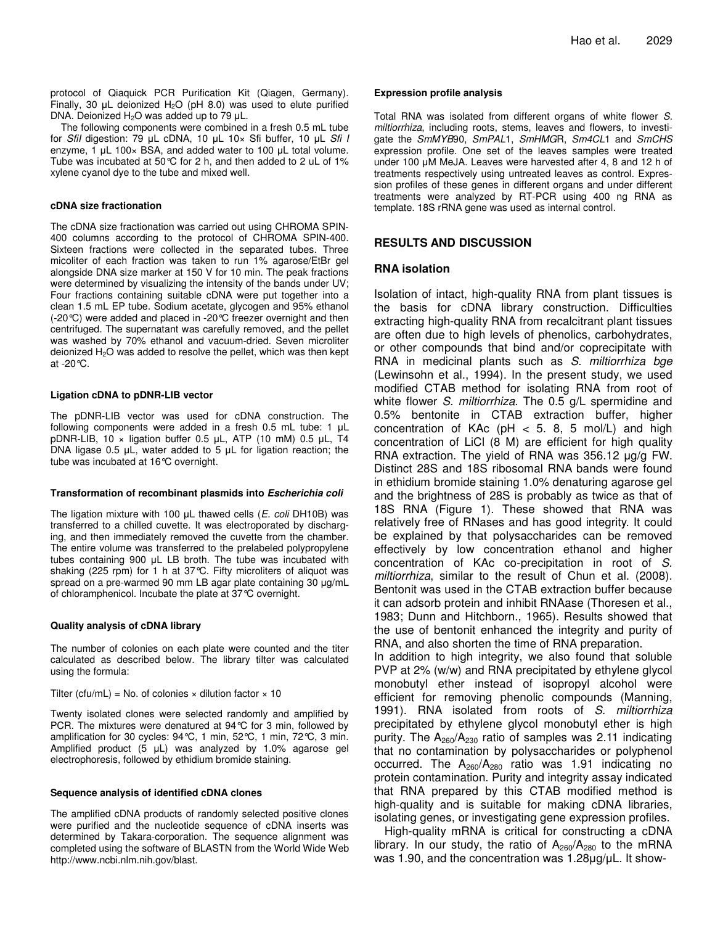protocol of Qiaquick PCR Purification Kit (Qiagen, Germany). Finally, 30  $\mu$ L deionized H<sub>2</sub>O (pH 8.0) was used to elute purified DNA. Deionized  $H_2O$  was added up to 79  $\mu$ L.

The following components were combined in a fresh 0.5 mL tube for *SfiI* digestion: 79 µL cDNA, 10 µL 10× Sfi buffer, 10 µL *Sfi I* enzyme, 1  $\mu$ L 100 $\times$  BSA, and added water to 100  $\mu$ L total volume. Tube was incubated at 50°C for 2 h, and then added to 2 uL of 1% xylene cyanol dye to the tube and mixed well.

#### **cDNA size fractionation**

The cDNA size fractionation was carried out using CHROMA SPIN-400 columns according to the protocol of CHROMA SPIN-400. Sixteen fractions were collected in the separated tubes. Three micoliter of each fraction was taken to run 1% agarose/EtBr gel alongside DNA size marker at 150 V for 10 min. The peak fractions were determined by visualizing the intensity of the bands under UV; Four fractions containing suitable cDNA were put together into a clean 1.5 mL EP tube. Sodium acetate, glycogen and 95% ethanol (-20°C) were added and placed in -20°C freezer overnight and then centrifuged. The supernatant was carefully removed, and the pellet was washed by 70% ethanol and vacuum-dried. Seven microliter deionized H<sub>2</sub>O was added to resolve the pellet, which was then kept at  $-20^{\circ}$ C.

#### **Ligation cDNA to pDNR-LIB vector**

The pDNR-LIB vector was used for cDNA construction. The following components were added in a fresh  $0.5$  mL tube: 1  $\mu$ L pDNR-LIB, 10  $\times$  ligation buffer 0.5 µL, ATP (10 mM) 0.5 µL, T4 DNA ligase 0.5  $\mu$ L, water added to 5  $\mu$ L for ligation reaction; the tube was incubated at 16°C overnight.

#### **Transformation of recombinant plasmids into** *Escherichia coli*

The ligation mixture with 100 µL thawed cells (*E. coli* DH10B) was transferred to a chilled cuvette. It was electroporated by discharging, and then immediately removed the cuvette from the chamber. The entire volume was transferred to the prelabeled polypropylene tubes containing 900  $\mu$ L LB broth. The tube was incubated with shaking (225 rpm) for 1 h at 37°C. Fifty microliters of aliquot was spread on a pre-warmed 90 mm LB agar plate containing 30  $\mu$ g/mL of chloramphenicol. Incubate the plate at 37°C overnight.

#### **Quality analysis of cDNA library**

The number of colonies on each plate were counted and the titer calculated as described below. The library tilter was calculated using the formula:

#### Tilter (cfu/mL) = No. of colonies  $\times$  dilution factor  $\times$  10

Twenty isolated clones were selected randomly and amplified by PCR. The mixtures were denatured at 94°C for 3 min, followed by amplification for 30 cycles: 94°C, 1 min, 52°C, 1 min, 72°C, 3 min. Amplified product  $(5 \mu L)$  was analyzed by 1.0% agarose gel electrophoresis, followed by ethidium bromide staining.

#### **Sequence analysis of identified cDNA clones**

The amplified cDNA products of randomly selected positive clones were purified and the nucleotide sequence of cDNA inserts was determined by Takara-corporation. The sequence alignment was completed using the software of BLASTN from the World Wide Web http://www.ncbi.nlm.nih.gov/blast.

#### **Expression profile analysis**

Total RNA was isolated from different organs of white flower *S. miltiorrhiza*, including roots, stems, leaves and flowers, to investigate the *SmMYB*90, *SmPAL*1, *SmHMG*R, *Sm4CL*1 and *SmCHS* expression profile. One set of the leaves samples were treated under 100 µM MeJA. Leaves were harvested after 4, 8 and 12 h of treatments respectively using untreated leaves as control. Expression profiles of these genes in different organs and under different treatments were analyzed by RT-PCR using 400 ng RNA as template. 18S rRNA gene was used as internal control.

## **RESULTS AND DISCUSSION**

## **RNA isolation**

Isolation of intact, high-quality RNA from plant tissues is the basis for cDNA library construction. Difficulties extracting high-quality RNA from recalcitrant plant tissues are often due to high levels of phenolics, carbohydrates, or other compounds that bind and/or coprecipitate with RNA in medicinal plants such as *S. miltiorrhiza bge* (Lewinsohn et al., 1994). In the present study, we used modified CTAB method for isolating RNA from root of white flower *S. miltiorrhiza*. The 0.5 g/L spermidine and 0.5% bentonite in CTAB extraction buffer, higher concentration of KAc ( $pH < 5$ . 8, 5 mol/L) and high concentration of LiCl (8 M) are efficient for high quality RNA extraction. The yield of RNA was  $356.12 \mu g/g$  FW. Distinct 28S and 18S ribosomal RNA bands were found in ethidium bromide staining 1.0% denaturing agarose gel and the brightness of 28S is probably as twice as that of 18S RNA (Figure 1). These showed that RNA was relatively free of RNases and has good integrity. It could be explained by that polysaccharides can be removed effectively by low concentration ethanol and higher concentration of KAc co-precipitation in root of *S. miltiorrhiza*, similar to the result of Chun et al. (2008). Bentonit was used in the CTAB extraction buffer because it can adsorb protein and inhibit RNAase (Thoresen et al., 1983; Dunn and Hitchborn., 1965). Results showed that the use of bentonit enhanced the integrity and purity of RNA, and also shorten the time of RNA preparation.

In addition to high integrity, we also found that soluble PVP at 2% (w/w) and RNA precipitated by ethylene glycol monobutyl ether instead of isopropyl alcohol were efficient for removing phenolic compounds (Manning, 1991). RNA isolated from roots of *S. miltiorrhiza* precipitated by ethylene glycol monobutyl ether is high purity. The  $A_{260}/A_{230}$  ratio of samples was 2.11 indicating that no contamination by polysaccharides or polyphenol occurred. The  $A_{260}/A_{280}$  ratio was 1.91 indicating no protein contamination. Purity and integrity assay indicated that RNA prepared by this CTAB modified method is high-quality and is suitable for making cDNA libraries, isolating genes, or investigating gene expression profiles.

High-quality mRNA is critical for constructing a cDNA library. In our study, the ratio of  $A_{260}/A_{280}$  to the mRNA was 1.90, and the concentration was  $1.28\mu g/\mu L$ . It show-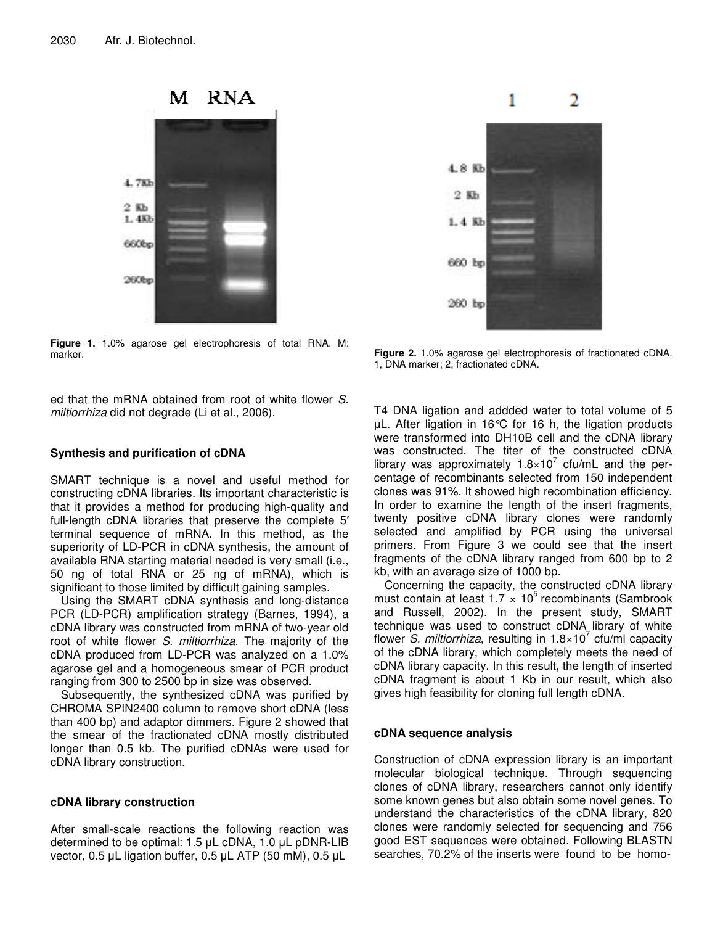

**Figure 1.** 1.0% agarose gel electrophoresis of total RNA. M: marker.

ed that the mRNA obtained from root of white flower *S. miltiorrhiza* did not degrade (Li et al., 2006).

## **Synthesis and purification of cDNA**

SMART technique is a novel and useful method for constructing cDNA libraries. Its important characteristic is that it provides a method for producing high-quality and full-length cDNA libraries that preserve the complete 5' terminal sequence of mRNA. In this method, as the superiority of LD-PCR in cDNA synthesis, the amount of available RNA starting material needed is very small (i.e., 50 ng of total RNA or 25 ng of mRNA), which is significant to those limited by difficult gaining samples.

Using the SMART cDNA synthesis and long-distance PCR (LD-PCR) amplification strategy (Barnes, 1994), a cDNA library was constructed from mRNA of two-year old root of white flower *S. miltiorrhiza*. The majority of the cDNA produced from LD-PCR was analyzed on a 1.0% agarose gel and a homogeneous smear of PCR product ranging from 300 to 2500 bp in size was observed.

Subsequently, the synthesized cDNA was purified by CHROMA SPIN2400 column to remove short cDNA (less than 400 bp) and adaptor dimmers. Figure 2 showed that the smear of the fractionated cDNA mostly distributed longer than 0.5 kb. The purified cDNAs were used for cDNA library construction.

## **cDNA library construction**

After small-scale reactions the following reaction was determined to be optimal:  $1.5$   $\mu$ L cDNA,  $1.0$   $\mu$ L pDNR-LIB vector,  $0.5$  µL ligation buffer,  $0.5$  µL ATP (50 mM),  $0.5$  µL



**Figure 2.** 1.0% agarose gel electrophoresis of fractionated cDNA. 1, DNA marker; 2, fractionated cDNA.

T4 DNA ligation and addded water to total volume of 5 µL. After ligation in 16℃ for 16 h, the ligation products were transformed into DH10B cell and the cDNA library was constructed. The titer of the constructed cDNA library was approximately 1.8×10<sup>7</sup> cfu/mL and the percentage of recombinants selected from 150 independent clones was 91%. It showed high recombination efficiency. In order to examine the length of the insert fragments, twenty positive cDNA library clones were randomly selected and amplified by PCR using the universal primers. From Figure 3 we could see that the insert fragments of the cDNA library ranged from 600 bp to 2 kb, with an average size of 1000 bp.

Concerning the capacity, the constructed cDNA library must contain at least 1.7 x 10<sup>5</sup> recombinants (Sambrook and Russell, 2002). In the present study, SMART technique was used to construct cDNA library of white flower *S. miltiorrhiza*, resulting in 1.8×10 7 cfu/ml capacity of the cDNA library, which completely meets the need of cDNA library capacity. In this result, the length of inserted cDNA fragment is about 1 Kb in our result, which also gives high feasibility for cloning full length cDNA.

## **cDNA sequence analysis**

Construction of cDNA expression library is an important molecular biological technique. Through sequencing clones of cDNA library, researchers cannot only identify some known genes but also obtain some novel genes. To understand the characteristics of the cDNA library, 820 clones were randomly selected for sequencing and 756 good EST sequences were obtained. Following BLASTN searches, 70.2% of the inserts were found to be homo-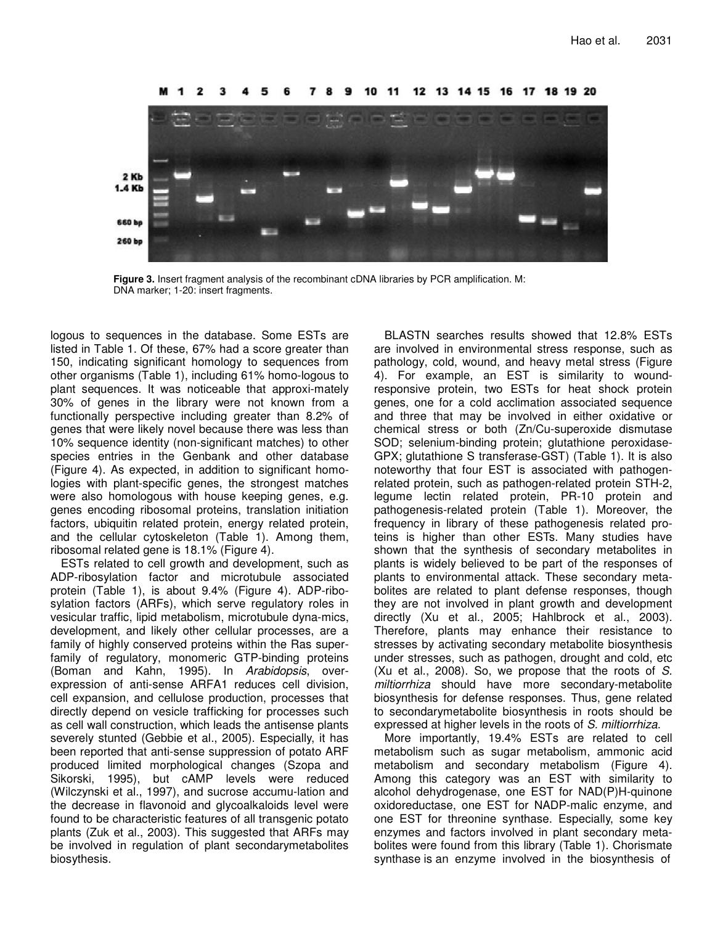

12 13 14 15 - 16 - 17 19 20

**Figure 3.** Insert fragment analysis of the recombinant cDNA libraries by PCR amplification. M: DNA marker; 1-20: insert fragments.

logous to sequences in the database. Some ESTs are listed in Table 1. Of these, 67% had a score greater than 150, indicating significant homology to sequences from other organisms (Table 1), including 61% homo-logous to plant sequences. It was noticeable that approxi-mately 30% of genes in the library were not known from a functionally perspective including greater than 8.2% of genes that were likely novel because there was less than 10% sequence identity (non-significant matches) to other species entries in the Genbank and other database (Figure 4). As expected, in addition to significant homologies with plant-specific genes, the strongest matches were also homologous with house keeping genes, e.g. genes encoding ribosomal proteins, translation initiation factors, ubiquitin related protein, energy related protein, and the cellular cytoskeleton (Table 1). Among them, ribosomal related gene is 18.1% (Figure 4).

ESTs related to cell growth and development, such as ADP-ribosylation factor and microtubule associated protein (Table 1), is about 9.4% (Figure 4). ADP-ribosylation factors (ARFs), which serve regulatory roles in vesicular traffic, lipid metabolism, microtubule dyna-mics, development, and likely other cellular processes, are a family of highly conserved proteins within the Ras superfamily of regulatory, monomeric GTP-binding proteins (Boman and Kahn, 1995). In *Arabidopsis*, overexpression of anti-sense ARFA1 reduces cell division, cell expansion, and cellulose production, processes that directly depend on vesicle trafficking for processes such as cell wall construction, which leads the antisense plants severely stunted (Gebbie et al., 2005). Especially, it has been reported that anti-sense suppression of potato ARF produced limited morphological changes (Szopa and Sikorski, 1995), but cAMP levels were reduced (Wilczynski et al., 1997), and sucrose accumu-lation and the decrease in flavonoid and glycoalkaloids level were found to be characteristic features of all transgenic potato plants (Zuk et al., 2003). This suggested that ARFs may be involved in regulation of plant secondarymetabolites biosythesis.

BLASTN searches results showed that 12.8% ESTs are involved in environmental stress response, such as pathology, cold, wound, and heavy metal stress (Figure 4). For example, an EST is similarity to woundresponsive protein, two ESTs for heat shock protein genes, one for a cold acclimation associated sequence and three that may be involved in either oxidative or chemical stress or both (Zn/Cu-superoxide dismutase SOD; selenium-binding protein; glutathione peroxidase-GPX; glutathione S transferase-GST) (Table 1). It is also noteworthy that four EST is associated with pathogenrelated protein, such as pathogen-related protein STH-2, legume lectin related protein, PR-10 protein and pathogenesis-related protein (Table 1). Moreover, the frequency in library of these pathogenesis related proteins is higher than other ESTs. Many studies have shown that the synthesis of secondary metabolites in plants is widely believed to be part of the responses of plants to environmental attack. These secondary metabolites are related to plant defense responses, though they are not involved in plant growth and development directly (Xu et al., 2005; Hahlbrock et al., 2003). Therefore, plants may enhance their resistance to stresses by activating secondary metabolite biosynthesis under stresses, such as pathogen, drought and cold, etc (Xu et al., 2008). So, we propose that the roots of *S. miltiorrhiza* should have more secondary-metabolite biosynthesis for defense responses. Thus, gene related to secondarymetabolite biosynthesis in roots should be expressed at higher levels in the roots of *S. miltiorrhiza*.

More importantly, 19.4% ESTs are related to cell metabolism such as sugar metabolism, ammonic acid metabolism and secondary metabolism (Figure 4). Among this category was an EST with similarity to alcohol dehydrogenase, one EST for NAD(P)H-quinone oxidoreductase, one EST for NADP-malic enzyme, and one EST for threonine synthase. Especially, some key enzymes and factors involved in plant secondary metabolites were found from this library (Table 1). Chorismate synthase is an enzyme involved in the biosynthesis of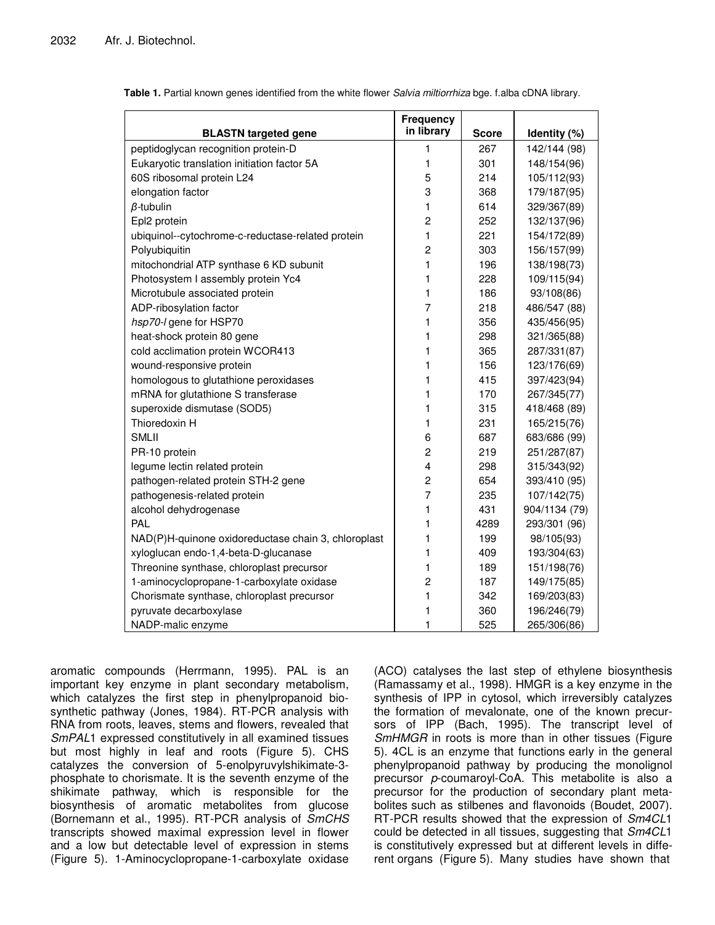|                                                                                    | <b>Frequency</b><br>in library |              |                             |
|------------------------------------------------------------------------------------|--------------------------------|--------------|-----------------------------|
| <b>BLASTN targeted gene</b>                                                        |                                | <b>Score</b> | Identity (%)                |
| peptidoglycan recognition protein-D<br>Eukaryotic translation initiation factor 5A | 1<br>1                         | 267<br>301   | 142/144 (98)<br>148/154(96) |
|                                                                                    | 5                              | 214          |                             |
| 60S ribosomal protein L24                                                          | 3                              |              | 105/112(93)                 |
| elongation factor                                                                  |                                | 368          | 179/187(95)                 |
| $\beta$ -tubulin                                                                   | 1                              | 614          | 329/367(89)                 |
| Epl2 protein                                                                       | $\overline{c}$                 | 252          | 132/137(96)                 |
| ubiquinol--cytochrome-c-reductase-related protein                                  | 1                              | 221          | 154/172(89)                 |
| Polyubiquitin                                                                      | $\overline{c}$                 | 303          | 156/157(99)                 |
| mitochondrial ATP synthase 6 KD subunit                                            | 1                              | 196          | 138/198(73)                 |
| Photosystem I assembly protein Yc4                                                 | 1                              | 228          | 109/115(94)                 |
| Microtubule associated protein                                                     | 1                              | 186          | 93/108(86)                  |
| ADP-ribosylation factor                                                            | 7                              | 218          | 486/547 (88)                |
| hsp70-I gene for HSP70                                                             | 1                              | 356          | 435/456(95)                 |
| heat-shock protein 80 gene                                                         | 1                              | 298          | 321/365(88)                 |
| cold acclimation protein WCOR413                                                   | 1                              | 365          | 287/331(87)                 |
| wound-responsive protein                                                           | 1                              | 156          | 123/176(69)                 |
| homologous to glutathione peroxidases                                              | 1                              | 415          | 397/423(94)                 |
| mRNA for glutathione S transferase                                                 | 1                              | 170          | 267/345(77)                 |
| superoxide dismutase (SOD5)                                                        | 1                              | 315          | 418/468 (89)                |
| Thioredoxin H                                                                      | 1                              | 231          | 165/215(76)                 |
| <b>SMLII</b>                                                                       | 6                              | 687          | 683/686 (99)                |
| PR-10 protein                                                                      | $\overline{c}$                 | 219          | 251/287(87)                 |
| legume lectin related protein                                                      | 4                              | 298          | 315/343(92)                 |
| pathogen-related protein STH-2 gene                                                | $\overline{c}$                 | 654          | 393/410 (95)                |
| pathogenesis-related protein                                                       | $\overline{7}$                 | 235          | 107/142(75)                 |
| alcohol dehydrogenase                                                              | 1                              | 431          | 904/1134 (79)               |
| PAL                                                                                | 1                              | 4289         | 293/301 (96)                |
| NAD(P)H-quinone oxidoreductase chain 3, chloroplast                                | 1                              | 199          | 98/105(93)                  |
| xyloglucan endo-1,4-beta-D-glucanase                                               | 1                              | 409          | 193/304(63)                 |
| Threonine synthase, chloroplast precursor                                          | 1                              | 189          | 151/198(76)                 |
| 1-aminocyclopropane-1-carboxylate oxidase                                          | $\overline{c}$                 | 187          | 149/175(85)                 |
| Chorismate synthase, chloroplast precursor                                         | 1                              | 342          | 169/203(83)                 |
| pyruvate decarboxylase                                                             | 1                              | 360          | 196/246(79)                 |
| NADP-malic enzyme                                                                  | 1                              | 525          | 265/306(86)                 |

|  |  | Table 1. Partial known genes identified from the white flower Salvia miltiorrhiza bge. f.alba cDNA library. |  |
|--|--|-------------------------------------------------------------------------------------------------------------|--|
|  |  |                                                                                                             |  |

aromatic compounds (Herrmann, 1995). PAL is an important key enzyme in plant secondary metabolism, which catalyzes the first step in phenylpropanoid biosynthetic pathway (Jones, 1984). RT-PCR analysis with RNA from roots, leaves, stems and flowers, revealed that *SmPAL*1 expressed constitutively in all examined tissues but most highly in leaf and roots (Figure 5). CHS catalyzes the conversion of 5-enolpyruvylshikimate-3 phosphate to chorismate. It is the seventh enzyme of the shikimate pathway, which is responsible for the biosynthesis of aromatic metabolites from glucose (Bornemann et al., 1995). RT-PCR analysis of *SmCHS* transcripts showed maximal expression level in flower and a low but detectable level of expression in stems (Figure 5). 1-Aminocyclopropane-1-carboxylate oxidase

(ACO) catalyses the last step of ethylene biosynthesis (Ramassamy et al., 1998). HMGR is a key enzyme in the synthesis of IPP in cytosol, which irreversibly catalyzes the formation of mevalonate, one of the known precursors of IPP (Bach, 1995). The transcript level of *SmHMGR* in roots is more than in other tissues (Figure 5). 4CL is an enzyme that functions early in the general phenylpropanoid pathway by producing the monolignol precursor *p*-coumaroyl-CoA. This metabolite is also a precursor for the production of secondary plant metabolites such as stilbenes and flavonoids (Boudet, 2007). RT-PCR results showed that the expression of *Sm4CL*1 could be detected in all tissues, suggesting that *Sm4CL*1 is constitutively expressed but at different levels in different organs (Figure 5). Many studies have shown that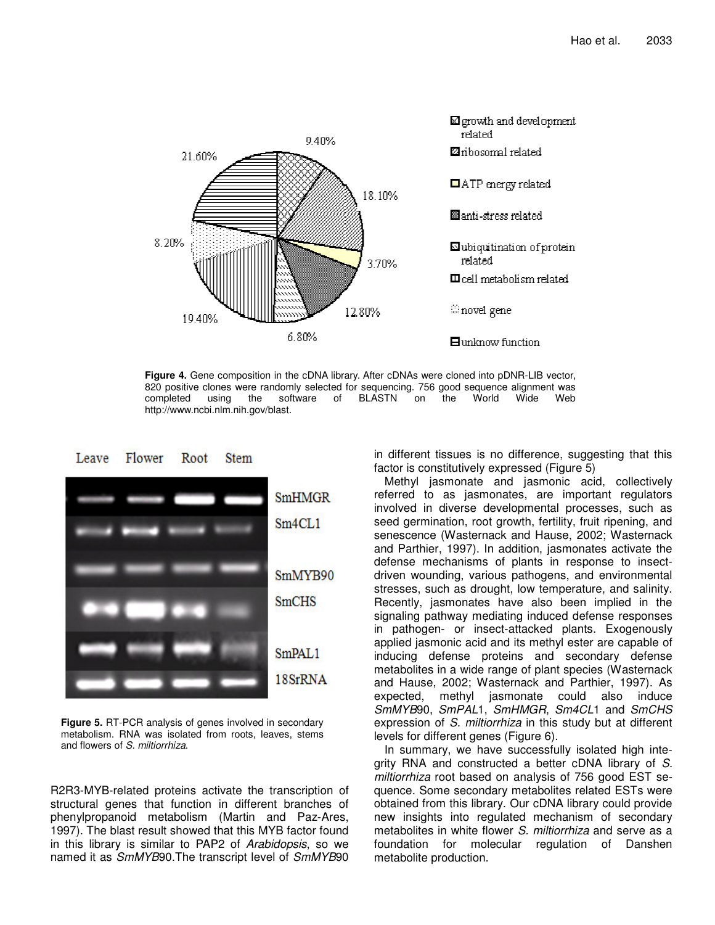

**Figure 4.** Gene composition in the cDNA library. After cDNAs were cloned into pDNR-LIB vector, 820 positive clones were randomly selected for sequencing. 756 good sequence alignment was completed using the software of BLASTN on the World Wide Web completed using the software of BLASTN on the World Wide Web http://www.ncbi.nlm.nih.gov/blast.



**Figure 5.** RT-PCR analysis of genes involved in secondary metabolism. RNA was isolated from roots, leaves, stems and flowers of *S. miltiorrhiza*.

R2R3-MYB-related proteins activate the transcription of structural genes that function in different branches of phenylpropanoid metabolism (Martin and Paz-Ares, 1997). The blast result showed that this MYB factor found in this library is similar to PAP2 of *Arabidopsis*, so we named it as *SmMYB*90.The transcript level of *SmMYB*90 in different tissues is no difference, suggesting that this factor is constitutively expressed (Figure 5)

Methyl jasmonate and jasmonic acid, collectively referred to as jasmonates, are important regulators involved in diverse developmental processes, such as seed germination, root growth, fertility, fruit ripening, and senescence (Wasternack and Hause, 2002; Wasternack and Parthier, 1997). In addition, jasmonates activate the defense mechanisms of plants in response to insectdriven wounding, various pathogens, and environmental stresses, such as drought, low temperature, and salinity. Recently, jasmonates have also been implied in the signaling pathway mediating induced defense responses in pathogen- or insect-attacked plants. Exogenously applied jasmonic acid and its methyl ester are capable of inducing defense proteins and secondary defense metabolites in a wide range of plant species (Wasternack and Hause, 2002; Wasternack and Parthier, 1997). As expected, methyl jasmonate could also induce *SmMYB*90, *SmPAL*1, *SmHMGR*, *Sm4CL*1 and *SmCHS* expression of *S. miltiorrhiza* in this study but at different levels for different genes (Figure 6).

In summary, we have successfully isolated high integrity RNA and constructed a better cDNA library of *S. miltiorrhiza* root based on analysis of 756 good EST sequence. Some secondary metabolites related ESTs were obtained from this library. Our cDNA library could provide new insights into regulated mechanism of secondary metabolites in white flower *S. miltiorrhiza* and serve as a foundation for molecular regulation of Danshen metabolite production.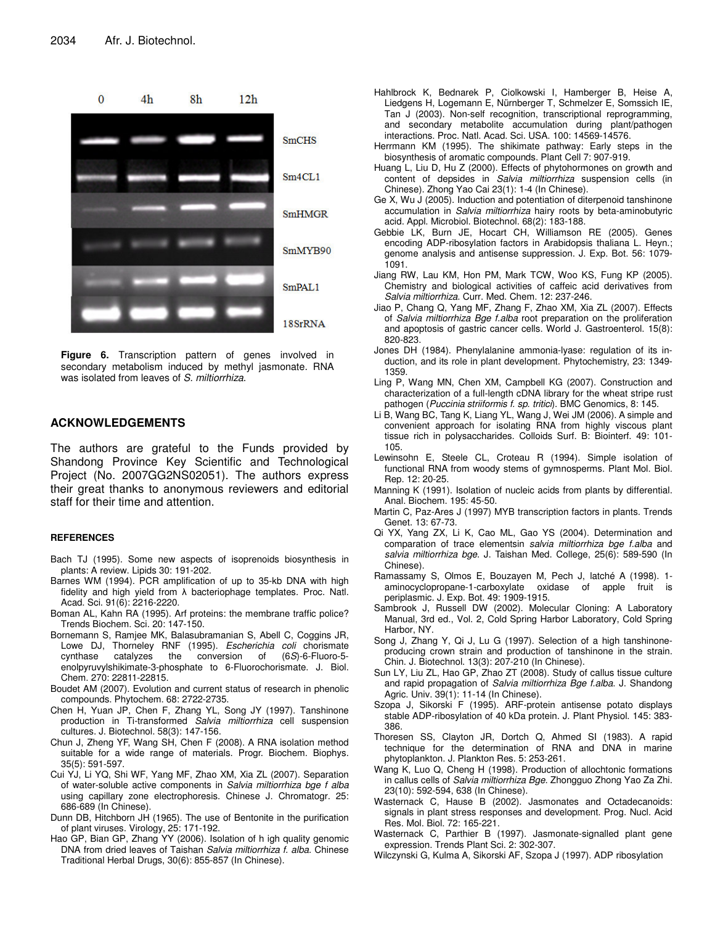

**Figure 6.** Transcription pattern of genes involved in secondary metabolism induced by methyl jasmonate. RNA was isolated from leaves of *S. miltiorrhiza*.

## **ACKNOWLEDGEMENTS**

The authors are grateful to the Funds provided by Shandong Province Key Scientific and Technological Project (No. 2007GG2NS02051). The authors express their great thanks to anonymous reviewers and editorial staff for their time and attention.

#### **REFERENCES**

- Bach TJ (1995). Some new aspects of isoprenoids biosynthesis in plants: A review. Lipids 30: 191-202.
- Barnes WM (1994). PCR amplification of up to 35-kb DNA with high fidelity and high yield from  $\lambda$  bacteriophage templates. Proc. Natl. Acad. Sci. 91(6): 2216-2220.
- Boman AL, Kahn RA (1995). Arf proteins: the membrane traffic police? Trends Biochem. Sci. 20: 147-150.
- Bornemann S, Ramjee MK, Balasubramanian S, Abell C, Coggins JR, Lowe DJ, Thorneley RNF (1995). *Escherichia coli* chorismate cynthase catalyzes the conversion of enolpyruvylshikimate-3-phosphate to 6-Fluorochorismate. J. Biol. Chem. 270: 22811-22815.
- Boudet AM (2007). Evolution and current status of research in phenolic compounds. Phytochem. 68: 2722-2735.
- Chen H, Yuan JP, Chen F, Zhang YL, Song JY (1997). Tanshinone production in Ti-transformed *Salvia miltiorrhiza* cell suspension cultures. J. Biotechnol. 58(3): 147-156.
- Chun J, Zheng YF, Wang SH, Chen F (2008). A RNA isolation method suitable for a wide range of materials. Progr. Biochem. Biophys. 35(5): 591-597.
- Cui YJ, Li YQ, Shi WF, Yang MF, Zhao XM, Xia ZL (2007). Separation of water-soluble active components in *Salvia miltiorrhiza bge f alba* using capillary zone electrophoresis. Chinese J. Chromatogr. 25: 686-689 (In Chinese).
- Dunn DB, Hitchborn JH (1965). The use of Bentonite in the purification of plant viruses. Virology, 25: 171-192.
- Hao GP, Bian GP, Zhang YY (2006). Isolation of h igh quality genomic DNA from dried leaves of Taishan *Salvia miltiorrhiza f. alba*. Chinese Traditional Herbal Drugs, 30(6): 855-857 (In Chinese).
- Hahlbrock K, Bednarek P, Ciolkowski I, Hamberger B, Heise A, Liedgens H, Logemann E, Nürnberger T, Schmelzer E, Somssich IE, Tan J (2003). Non-self recognition, transcriptional reprogramming, and secondary metabolite accumulation during plant/pathogen interactions. Proc. Natl. Acad. Sci. USA. 100: 14569-14576.
- Herrmann KM (1995). The shikimate pathway: Early steps in the biosynthesis of aromatic compounds. Plant Cell 7: 907-919.
- Huang L, Liu D, Hu Z (2000). Effects of phytohormones on growth and content of depsides in *Salvia miltiorrhiza* suspension cells (in Chinese). Zhong Yao Cai 23(1): 1-4 (In Chinese).
- Ge X, Wu J (2005). Induction and potentiation of diterpenoid tanshinone accumulation in *Salvia miltiorrhiza* hairy roots by beta-aminobutyric acid. Appl. Microbiol. Biotechnol. 68(2): 183-188.
- Gebbie LK, Burn JE, Hocart CH, Williamson RE (2005). Genes encoding ADP-ribosylation factors in Arabidopsis thaliana L. Heyn.; genome analysis and antisense suppression. J. Exp. Bot. 56: 1079- 1091.
- Jiang RW, Lau KM, Hon PM, Mark TCW, Woo KS, Fung KP (2005). Chemistry and biological activities of caffeic acid derivatives from *Salvia miltiorrhiza*. Curr. Med. Chem. 12: 237-246.
- Jiao P, Chang Q, Yang MF, Zhang F, Zhao XM, Xia ZL (2007). Effects of *Salvia miltiorrhiza Bge f.alba* root preparation on the proliferation and apoptosis of gastric cancer cells. World J. Gastroenterol. 15(8): 820-823.
- Jones DH (1984). Phenylalanine ammonia-lyase: regulation of its induction, and its role in plant development. Phytochemistry, 23: 1349- 1359.
- Ling P, Wang MN, Chen XM, Campbell KG (2007). Construction and characterization of a full-length cDNA library for the wheat stripe rust pathogen (*Puccinia striiformis f. sp. tritici*). BMC Genomics, 8: 145.
- Li B, Wang BC, Tang K, Liang YL, Wang J, Wei JM (2006). A simple and convenient approach for isolating RNA from highly viscous plant tissue rich in polysaccharides. Colloids Surf. B: Biointerf. 49: 101- 105.
- Lewinsohn E, Steele CL, Croteau R (1994). Simple isolation of functional RNA from woody stems of gymnosperms. Plant Mol. Biol. Rep. 12: 20-25.
- Manning K (1991). Isolation of nucleic acids from plants by differential. Anal. Biochem. 195: 45-50.
- Martin C, Paz-Ares J (1997) MYB transcription factors in plants. Trends Genet. 13: 67-73.
- Qi YX, Yang ZX, Li K, Cao ML, Gao YS (2004). Determination and comparation of trace elementsin *salvia miltiorrhiza bge f.alba* and *salvia miltiorrhiza bge*. J. Taishan Med. College, 25(6): 589-590 (In Chinese).
- Ramassamy S, Olmos E, Bouzayen M, Pech J, latché A (1998). 1 aminocyclopropane-1-carboxylate oxidase of apple fruit is periplasmic. J. Exp. Bot. 49: 1909-1915.
- Sambrook J, Russell DW (2002). Molecular Cloning: A Laboratory Manual, 3rd ed., Vol. 2, Cold Spring Harbor Laboratory, Cold Spring Harbor, NY.
- Song J, Zhang Y, Qi J, Lu G (1997). Selection of a high tanshinoneproducing crown strain and production of tanshinone in the strain. Chin. J. Biotechnol. 13(3): 207-210 (In Chinese).
- Sun LY, Liu ZL, Hao GP, Zhao ZT (2008). Study of callus tissue culture and rapid propagation of *Salvia miltiorrhiza Bge f.alba*. J. Shandong Agric. Univ. 39(1): 11-14 (In Chinese).
- Szopa J, Sikorski F (1995). ARF-protein antisense potato displays stable ADP-ribosylation of 40 kDa protein. J. Plant Physiol. 145: 383- 386.
- Thoresen SS, Clayton JR, Dortch Q, Ahmed SI (1983). A rapid technique for the determination of RNA and DNA in marine phytoplankton. J. Plankton Res. 5: 253-261.
- Wang K, Luo Q, Cheng H (1998). Production of allochtonic formations in callus cells of *Salvia miltiorrhiza Bge*. Zhongguo Zhong Yao Za Zhi. 23(10): 592-594, 638 (In Chinese).
- Wasternack C, Hause B (2002). Jasmonates and Octadecanoids: signals in plant stress responses and development. Prog. Nucl. Acid Res. Mol. Biol. 72: 165-221.
- Wasternack C, Parthier B (1997). Jasmonate-signalled plant gene expression. Trends Plant Sci. 2: 302-307.
- Wilczynski G, Kulma A, Sikorski AF, Szopa J (1997). ADP ribosylation